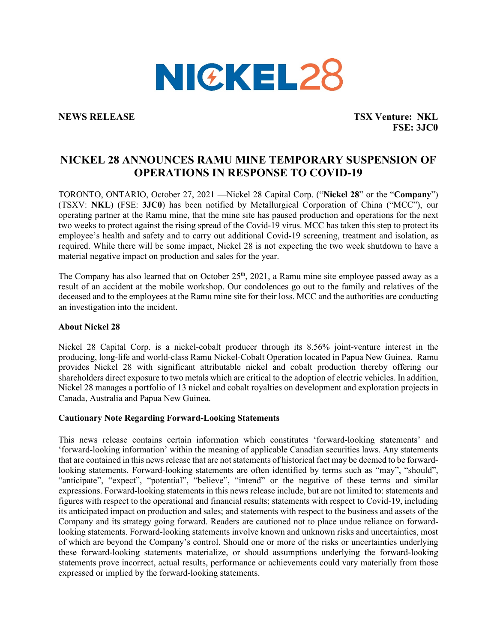

**NEWS RELEASE TSX Venture: NKL FSE: 3JC0**

## **NICKEL 28 ANNOUNCES RAMU MINE TEMPORARY SUSPENSION OF OPERATIONS IN RESPONSE TO COVID-19**

TORONTO, ONTARIO, October 27, 2021 —Nickel 28 Capital Corp. ("**Nickel 28**" or the "**Company**") (TSXV: **NKL**) (FSE: **3JC0**) has been notified by Metallurgical Corporation of China ("MCC"), our operating partner at the Ramu mine, that the mine site has paused production and operations for the next two weeks to protect against the rising spread of the Covid-19 virus. MCC has taken this step to protect its employee's health and safety and to carry out additional Covid-19 screening, treatment and isolation, as required. While there will be some impact, Nickel 28 is not expecting the two week shutdown to have a material negative impact on production and sales for the year.

The Company has also learned that on October 25<sup>th</sup>, 2021, a Ramu mine site employee passed away as a result of an accident at the mobile workshop. Our condolences go out to the family and relatives of the deceased and to the employees at the Ramu mine site for their loss. MCC and the authorities are conducting an investigation into the incident.

## **About Nickel 28**

Nickel 28 Capital Corp. is a nickel-cobalt producer through its 8.56% joint-venture interest in the producing, long-life and world-class Ramu Nickel-Cobalt Operation located in Papua New Guinea. Ramu provides Nickel 28 with significant attributable nickel and cobalt production thereby offering our shareholders direct exposure to two metals which are critical to the adoption of electric vehicles. In addition, Nickel 28 manages a portfolio of 13 nickel and cobalt royalties on development and exploration projects in Canada, Australia and Papua New Guinea.

## **Cautionary Note Regarding Forward-Looking Statements**

This news release contains certain information which constitutes 'forward-looking statements' and 'forward-looking information' within the meaning of applicable Canadian securities laws. Any statements that are contained in this news release that are not statements of historical fact may be deemed to be forwardlooking statements. Forward-looking statements are often identified by terms such as "may", "should", "anticipate", "expect", "potential", "believe", "intend" or the negative of these terms and similar expressions. Forward-looking statements in this news release include, but are not limited to: statements and figures with respect to the operational and financial results; statements with respect to Covid-19, including its anticipated impact on production and sales; and statements with respect to the business and assets of the Company and its strategy going forward. Readers are cautioned not to place undue reliance on forwardlooking statements. Forward-looking statements involve known and unknown risks and uncertainties, most of which are beyond the Company's control. Should one or more of the risks or uncertainties underlying these forward-looking statements materialize, or should assumptions underlying the forward-looking statements prove incorrect, actual results, performance or achievements could vary materially from those expressed or implied by the forward-looking statements.